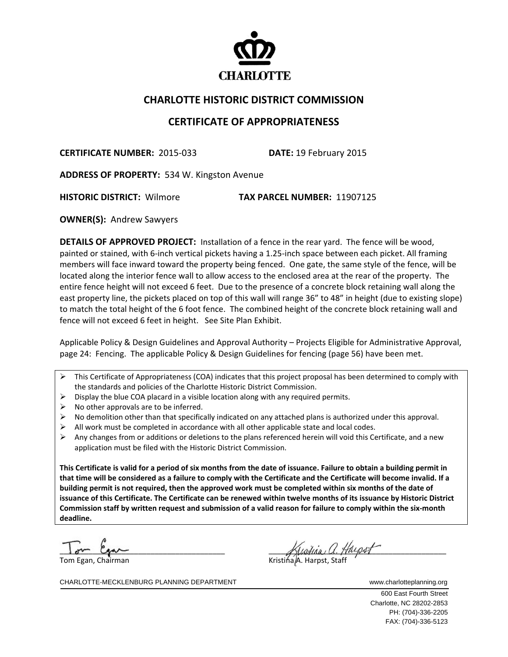

## **CHARLOTTE HISTORIC DISTRICT COMMISSION**

## **CERTIFICATE OF APPROPRIATENESS**

**CERTIFICATE NUMBER:** 2015‐033 **DATE:** 19 February 2015

**ADDRESS OF PROPERTY:** 534 W. Kingston Avenue

**HISTORIC DISTRICT:** Wilmore **TAX PARCEL NUMBER:** 11907125

**OWNER(S): Andrew Sawyers** 

**DETAILS OF APPROVED PROJECT:** Installation of a fence in the rear yard. The fence will be wood, painted or stained, with 6‐inch vertical pickets having a 1.25‐inch space between each picket. All framing members will face inward toward the property being fenced. One gate, the same style of the fence, will be located along the interior fence wall to allow access to the enclosed area at the rear of the property. The entire fence height will not exceed 6 feet. Due to the presence of a concrete block retaining wall along the east property line, the pickets placed on top of this wall will range 36" to 48" in height (due to existing slope) to match the total height of the 6 foot fence. The combined height of the concrete block retaining wall and fence will not exceed 6 feet in height. See Site Plan Exhibit.

Applicable Policy & Design Guidelines and Approval Authority – Projects Eligible for Administrative Approval, page 24: Fencing. The applicable Policy & Design Guidelines for fencing (page 56) have been met.

 $\triangleright$  This Certificate of Appropriateness (COA) indicates that this project proposal has been determined to comply with the standards and policies of the Charlotte Historic District Commission.

- $\triangleright$  Display the blue COA placard in a visible location along with any required permits.
- $\triangleright$  No other approvals are to be inferred.
- $\triangleright$  No demolition other than that specifically indicated on any attached plans is authorized under this approval.
- $\triangleright$  All work must be completed in accordance with all other applicable state and local codes.
- Any changes from or additions or deletions to the plans referenced herein will void this Certificate, and a new application must be filed with the Historic District Commission.

This Certificate is valid for a period of six months from the date of issuance. Failure to obtain a building permit in that time will be considered as a failure to comply with the Certificate and the Certificate will become invalid. If a building permit is not required, then the approved work must be completed within six months of the date of issuance of this Certificate. The Certificate can be renewed within twelve months of its issuance by Historic District Commission staff by written request and submission of a valid reason for failure to comply within the six-month **deadline.**

Tom Egan, Chairman Kristina A. Harpst, Staff

 $\overline{\phantom{a}}$   $\overline{\phantom{a}}$   $\overline{\phantom{a}}$   $\overline{\phantom{a}}$   $\overline{\phantom{a}}$   $\overline{\phantom{a}}$   $\overline{\phantom{a}}$   $\overline{\phantom{a}}$   $\overline{\phantom{a}}$   $\overline{\phantom{a}}$   $\overline{\phantom{a}}$   $\overline{\phantom{a}}$   $\overline{\phantom{a}}$   $\overline{\phantom{a}}$   $\overline{\phantom{a}}$   $\overline{\phantom{a}}$   $\overline{\phantom{a}}$   $\overline{\phantom{a}}$   $\overline{\$  $\Delta u$ ,  $\Delta u$ ,  $\Delta u$ ,  $\Delta u$ ,  $\Delta u$ ,  $\Delta u$ ,  $\Delta u$ ,  $\Delta u$ ,  $\Delta u$ ,  $\Delta u$ ,  $\Delta u$ ,  $\Delta u$ ,  $\Delta u$ ,  $\Delta u$ ,  $\Delta u$ ,  $\Delta u$ ,  $\Delta u$ ,  $\Delta u$ ,  $\Delta u$ ,  $\Delta u$ ,  $\Delta u$ ,  $\Delta u$ ,  $\Delta u$ ,  $\Delta u$ ,  $\Delta u$ ,  $\Delta u$ ,  $\Delta u$ ,  $\Delta u$ ,  $\Delta u$ ,  $\Delta u$ ,  $\Delta u$ ,  $\Delta u$ 

CHARLOTTE-MECKLENBURG PLANNING DEPARTMENT WWW.charlotteplanning.org

 600 East Fourth Street Charlotte, NC 28202-2853 PH: (704)-336-2205 FAX: (704)-336-5123